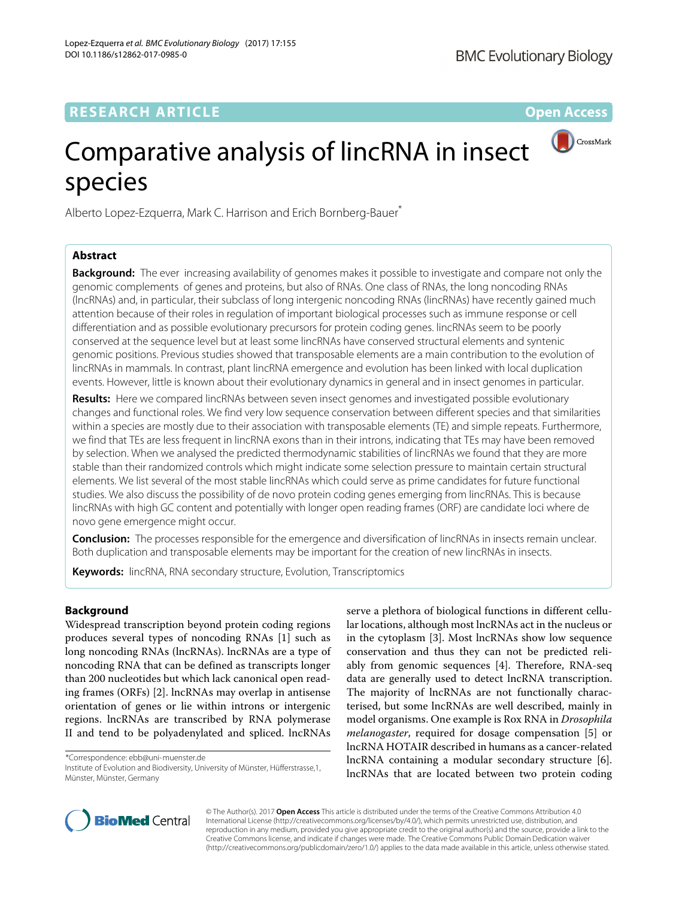# **RESEARCH ARTICLE Open Access**

CrossMark

# Comparative analysis of lincRNA in insect species

Alberto Lopez-Ezquerra, Mark C. Harrison and Erich Bornberg-Bauer\*

# **Abstract**

**Background:** The ever increasing availability of genomes makes it possible to investigate and compare not only the genomic complements of genes and proteins, but also of RNAs. One class of RNAs, the long noncoding RNAs (lncRNAs) and, in particular, their subclass of long intergenic noncoding RNAs (lincRNAs) have recently gained much attention because of their roles in regulation of important biological processes such as immune response or cell differentiation and as possible evolutionary precursors for protein coding genes. lincRNAs seem to be poorly conserved at the sequence level but at least some lincRNAs have conserved structural elements and syntenic genomic positions. Previous studies showed that transposable elements are a main contribution to the evolution of lincRNAs in mammals. In contrast, plant lincRNA emergence and evolution has been linked with local duplication events. However, little is known about their evolutionary dynamics in general and in insect genomes in particular.

**Results:** Here we compared lincRNAs between seven insect genomes and investigated possible evolutionary changes and functional roles. We find very low sequence conservation between different species and that similarities within a species are mostly due to their association with transposable elements (TE) and simple repeats. Furthermore, we find that TEs are less frequent in lincRNA exons than in their introns, indicating that TEs may have been removed by selection. When we analysed the predicted thermodynamic stabilities of lincRNAs we found that they are more stable than their randomized controls which might indicate some selection pressure to maintain certain structural elements. We list several of the most stable lincRNAs which could serve as prime candidates for future functional studies. We also discuss the possibility of de novo protein coding genes emerging from lincRNAs. This is because lincRNAs with high GC content and potentially with longer open reading frames (ORF) are candidate loci where de novo gene emergence might occur.

**Conclusion:** The processes responsible for the emergence and diversification of lincRNAs in insects remain unclear. Both duplication and transposable elements may be important for the creation of new lincRNAs in insects.

**Keywords:** lincRNA, RNA secondary structure, Evolution, Transcriptomics

## **Background**

Widespread transcription beyond protein coding regions produces several types of noncoding RNAs [\[1\]](#page-8-0) such as long noncoding RNAs (lncRNAs). lncRNAs are a type of noncoding RNA that can be defined as transcripts longer than 200 nucleotides but which lack canonical open reading frames (ORFs) [\[2\]](#page-8-1). lncRNAs may overlap in antisense orientation of genes or lie within introns or intergenic regions. lncRNAs are transcribed by RNA polymerase II and tend to be polyadenylated and spliced. lncRNAs

\*Correspondence: [ebb@uni-muenster.de](mailto: ebb@uni-muenster.de)

serve a plethora of biological functions in different cellular locations, although most lncRNAs act in the nucleus or in the cytoplasm [\[3\]](#page-8-2). Most lncRNAs show low sequence conservation and thus they can not be predicted reliably from genomic sequences [\[4\]](#page-8-3). Therefore, RNA-seq data are generally used to detect lncRNA transcription. The majority of lncRNAs are not functionally characterised, but some lncRNAs are well described, mainly in model organisms. One example is Rox RNA in *Drosophila melanogaster*, required for dosage compensation [\[5\]](#page-9-0) or lncRNA HOTAIR described in humans as a cancer-related lncRNA containing a modular secondary structure [\[6\]](#page-9-1). lncRNAs that are located between two protein coding



© The Author(s). 2017 **Open Access** This article is distributed under the terms of the Creative Commons Attribution 4.0 International License [\(http://creativecommons.org/licenses/by/4.0/\)](http://creativecommons.org/licenses/by/4.0/), which permits unrestricted use, distribution, and reproduction in any medium, provided you give appropriate credit to the original author(s) and the source, provide a link to the Creative Commons license, and indicate if changes were made. The Creative Commons Public Domain Dedication waiver [\(http://creativecommons.org/publicdomain/zero/1.0/\)](http://creativecommons.org/publicdomain/zero/1.0/) applies to the data made available in this article, unless otherwise stated.

Institute of Evolution and Biodiversity, University of Münster, Hüfferstrasse,1, Münster, Münster, Germany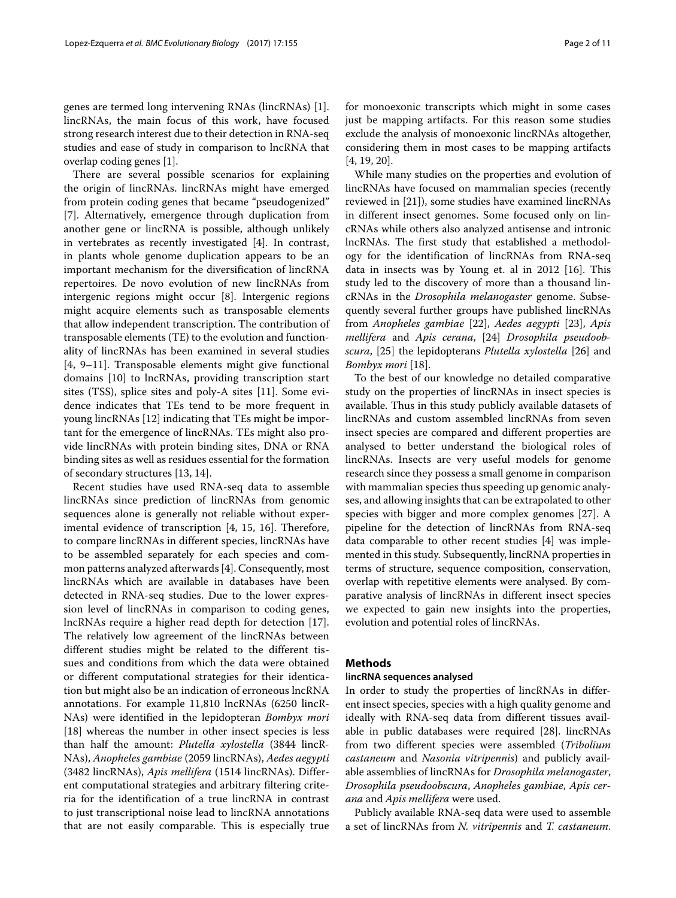genes are termed long intervening RNAs (lincRNAs) [\[1\]](#page-8-0). lincRNAs, the main focus of this work, have focused strong research interest due to their detection in RNA-seq studies and ease of study in comparison to lncRNA that overlap coding genes [\[1\]](#page-8-0).

There are several possible scenarios for explaining the origin of lincRNAs. lincRNAs might have emerged from protein coding genes that became "pseudogenized" [\[7\]](#page-9-2). Alternatively, emergence through duplication from another gene or lincRNA is possible, although unlikely in vertebrates as recently investigated [\[4\]](#page-8-3). In contrast, in plants whole genome duplication appears to be an important mechanism for the diversification of lincRNA repertoires. De novo evolution of new lincRNAs from intergenic regions might occur [\[8\]](#page-9-3). Intergenic regions might acquire elements such as transposable elements that allow independent transcription. The contribution of transposable elements (TE) to the evolution and functionality of lincRNAs has been examined in several studies [\[4,](#page-8-3) [9](#page-9-4)[–11\]](#page-9-5). Transposable elements might give functional domains [\[10\]](#page-9-6) to lncRNAs, providing transcription start sites (TSS), splice sites and poly-A sites [\[11\]](#page-9-5). Some evidence indicates that TEs tend to be more frequent in young lincRNAs [\[12\]](#page-9-7) indicating that TEs might be important for the emergence of lincRNAs. TEs might also provide lincRNAs with protein binding sites, DNA or RNA binding sites as well as residues essential for the formation of secondary structures [\[13,](#page-9-8) [14\]](#page-9-9).

Recent studies have used RNA-seq data to assemble lincRNAs since prediction of lincRNAs from genomic sequences alone is generally not reliable without experimental evidence of transcription [\[4,](#page-8-3) [15,](#page-9-10) [16\]](#page-9-11). Therefore, to compare lincRNAs in different species, lincRNAs have to be assembled separately for each species and common patterns analyzed afterwards [\[4\]](#page-8-3). Consequently, most lincRNAs which are available in databases have been detected in RNA-seq studies. Due to the lower expression level of lincRNAs in comparison to coding genes, lncRNAs require a higher read depth for detection [\[17\]](#page-9-12). The relatively low agreement of the lincRNAs between different studies might be related to the different tissues and conditions from which the data were obtained or different computational strategies for their identication but might also be an indication of erroneous lncRNA annotations. For example 11,810 lncRNAs (6250 lincR-NAs) were identified in the lepidopteran *Bombyx mori* [\[18\]](#page-9-13) whereas the number in other insect species is less than half the amount: *Plutella xylostella* (3844 lincR-NAs), *Anopheles gambiae* (2059 lincRNAs), *Aedes aegypti* (3482 lincRNAs), *Apis mellifera* (1514 lincRNAs). Different computational strategies and arbitrary filtering criteria for the identification of a true lincRNA in contrast to just transcriptional noise lead to lincRNA annotations that are not easily comparable. This is especially true for monoexonic transcripts which might in some cases just be mapping artifacts. For this reason some studies exclude the analysis of monoexonic lincRNAs altogether, considering them in most cases to be mapping artifacts [\[4,](#page-8-3) [19,](#page-9-14) [20\]](#page-9-15).

While many studies on the properties and evolution of lincRNAs have focused on mammalian species (recently reviewed in [\[21\]](#page-9-16)), some studies have examined lincRNAs in different insect genomes. Some focused only on lincRNAs while others also analyzed antisense and intronic lncRNAs. The first study that established a methodology for the identification of lincRNAs from RNA-seq data in insects was by Young et. al in 2012 [\[16\]](#page-9-11). This study led to the discovery of more than a thousand lincRNAs in the *Drosophila melanogaster* genome. Subsequently several further groups have published lincRNAs from *Anopheles gambiae* [\[22\]](#page-9-17), *Aedes aegypti* [\[23\]](#page-9-18), *Apis mellifera* and *Apis cerana*, [\[24\]](#page-9-19) *Drosophila pseudoobscura*, [\[25\]](#page-9-20) the lepidopterans *Plutella xylostella* [\[26\]](#page-9-21) and *Bombyx mori* [\[18\]](#page-9-13).

To the best of our knowledge no detailed comparative study on the properties of lincRNAs in insect species is available. Thus in this study publicly available datasets of lincRNAs and custom assembled lincRNAs from seven insect species are compared and different properties are analysed to better understand the biological roles of lincRNAs. Insects are very useful models for genome research since they possess a small genome in comparison with mammalian species thus speeding up genomic analyses, and allowing insights that can be extrapolated to other species with bigger and more complex genomes [\[27\]](#page-9-22). A pipeline for the detection of lincRNAs from RNA-seq data comparable to other recent studies [\[4\]](#page-8-3) was implemented in this study. Subsequently, lincRNA properties in terms of structure, sequence composition, conservation, overlap with repetitive elements were analysed. By comparative analysis of lincRNAs in different insect species we expected to gain new insights into the properties, evolution and potential roles of lincRNAs.

## **Methods**

### **lincRNA sequences analysed**

In order to study the properties of lincRNAs in different insect species, species with a high quality genome and ideally with RNA-seq data from different tissues available in public databases were required [\[28\]](#page-9-23). lincRNAs from two different species were assembled (*Tribolium castaneum* and *Nasonia vitripennis*) and publicly available assemblies of lincRNAs for *Drosophila melanogaster*, *Drosophila pseudoobscura*, *Anopheles gambiae*, *Apis cerana* and *Apis mellifera* were used.

Publicly available RNA-seq data were used to assemble a set of lincRNAs from *N. vitripennis* and *T. castaneum*.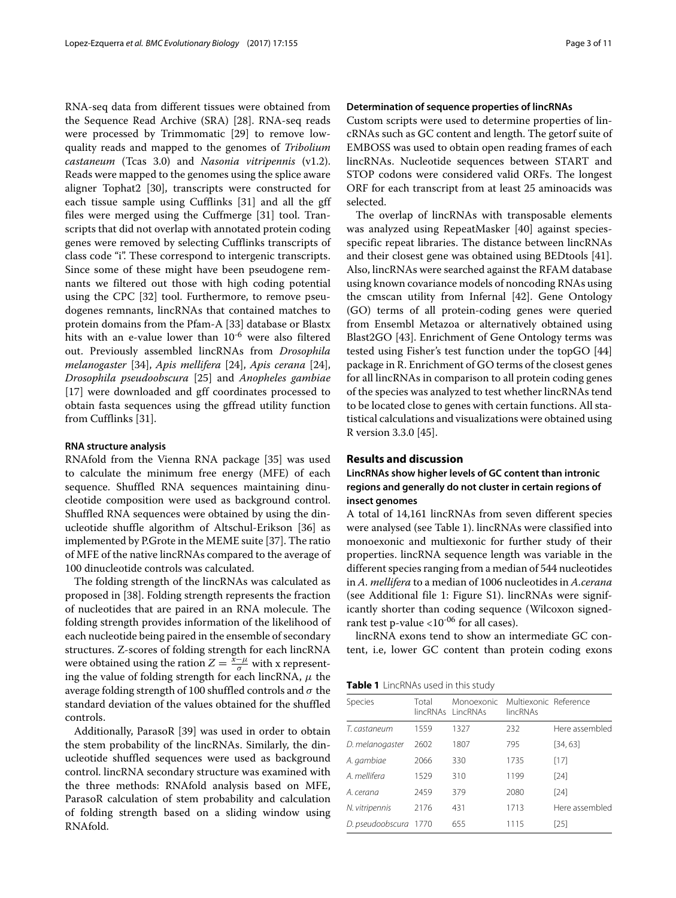RNA-seq data from different tissues were obtained from the Sequence Read Archive (SRA) [\[28\]](#page-9-23). RNA-seq reads were processed by Trimmomatic [\[29\]](#page-9-24) to remove lowquality reads and mapped to the genomes of *Tribolium castaneum* (Tcas 3.0) and *Nasonia vitripennis* (v1.2). Reads were mapped to the genomes using the splice aware aligner Tophat2 [\[30\]](#page-9-25), transcripts were constructed for each tissue sample using Cufflinks [\[31\]](#page-9-26) and all the gff files were merged using the Cuffmerge [\[31\]](#page-9-26) tool. Transcripts that did not overlap with annotated protein coding genes were removed by selecting Cufflinks transcripts of class code "i". These correspond to intergenic transcripts. Since some of these might have been pseudogene remnants we filtered out those with high coding potential using the CPC [\[32\]](#page-9-27) tool. Furthermore, to remove pseudogenes remnants, lincRNAs that contained matches to protein domains from the Pfam-A [\[33\]](#page-9-28) database or Blastx hits with an e-value lower than  $10^{-6}$  were also filtered out. Previously assembled lincRNAs from *Drosophila melanogaster* [\[34\]](#page-9-29), *Apis mellifera* [\[24\]](#page-9-19), *Apis cerana* [\[24\]](#page-9-19), *Drosophila pseudoobscura* [\[25\]](#page-9-20) and *Anopheles gambiae* [\[17\]](#page-9-12) were downloaded and gff coordinates processed to obtain fasta sequences using the gffread utility function from Cufflinks [\[31\]](#page-9-26).

### **RNA structure analysis**

RNAfold from the Vienna RNA package [\[35\]](#page-9-30) was used to calculate the minimum free energy (MFE) of each sequence. Shuffled RNA sequences maintaining dinucleotide composition were used as background control. Shuffled RNA sequences were obtained by using the dinucleotide shuffle algorithm of Altschul-Erikson [\[36\]](#page-9-31) as implemented by P.Grote in the MEME suite [\[37\]](#page-9-32). The ratio of MFE of the native lincRNAs compared to the average of 100 dinucleotide controls was calculated.

The folding strength of the lincRNAs was calculated as proposed in [\[38\]](#page-9-33). Folding strength represents the fraction of nucleotides that are paired in an RNA molecule. The folding strength provides information of the likelihood of each nucleotide being paired in the ensemble of secondary structures. Z-scores of folding strength for each lincRNA were obtained using the ration  $Z = \frac{x - \mu}{\sigma}$  with x representing the value of folding strength for each lincRNA,  $\mu$  the average folding strength of 100 shuffled controls and  $\sigma$  the standard deviation of the values obtained for the shuffled controls.

Additionally, ParasoR [\[39\]](#page-9-34) was used in order to obtain the stem probability of the lincRNAs. Similarly, the dinucleotide shuffled sequences were used as background control. lincRNA secondary structure was examined with the three methods: RNAfold analysis based on MFE, ParasoR calculation of stem probability and calculation of folding strength based on a sliding window using RNAfold.

### **Determination of sequence properties of lincRNAs**

Custom scripts were used to determine properties of lincRNAs such as GC content and length. The getorf suite of EMBOSS was used to obtain open reading frames of each lincRNAs. Nucleotide sequences between START and STOP codons were considered valid ORFs. The longest ORF for each transcript from at least 25 aminoacids was selected.

The overlap of lincRNAs with transposable elements was analyzed using RepeatMasker [\[40\]](#page-9-35) against speciesspecific repeat libraries. The distance between lincRNAs and their closest gene was obtained using BEDtools [\[41\]](#page-9-36). Also, lincRNAs were searched against the RFAM database using known covariance models of noncoding RNAs using the cmscan utility from Infernal [\[42\]](#page-9-37). Gene Ontology (GO) terms of all protein-coding genes were queried from Ensembl Metazoa or alternatively obtained using Blast2GO [\[43\]](#page-9-38). Enrichment of Gene Ontology terms was tested using Fisher's test function under the topGO [\[44\]](#page-9-39) package in R. Enrichment of GO terms of the closest genes for all lincRNAs in comparison to all protein coding genes of the species was analyzed to test whether lincRNAs tend to be located close to genes with certain functions. All statistical calculations and visualizations were obtained using R version 3.3.0 [\[45\]](#page-9-40).

## **Results and discussion**

## **LincRNAs show higher levels of GC content than intronic regions and generally do not cluster in certain regions of insect genomes**

A total of 14,161 lincRNAs from seven different species were analysed (see Table [1\)](#page-2-0). lincRNAs were classified into monoexonic and multiexonic for further study of their properties. lincRNA sequence length was variable in the different species ranging from a median of 544 nucleotides in *A. mellifera* to a median of 1006 nucleotides in *A.cerana* (see Additional file [1:](#page-8-4) Figure S1). lincRNAs were significantly shorter than coding sequence (Wilcoxon signedrank test p-value  $< 10^{-06}$  for all cases).

lincRNA exons tend to show an intermediate GC content, i.e, lower GC content than protein coding exons

|  | Table 1 LincRNAs used in this study |  |  |  |
|--|-------------------------------------|--|--|--|
|--|-------------------------------------|--|--|--|

<span id="page-2-0"></span>

| Species          | Total | Monoexonic<br>lincRNAs LincRNAs | Multiexonic Reference<br>lincRNAs |                |
|------------------|-------|---------------------------------|-----------------------------------|----------------|
| T. castaneum     | 1559  | 1327                            | 232                               | Here assembled |
| D. melanogaster  | 2602  | 1807                            | 795                               | [34, 63]       |
| A. gambiae       | 2066  | 330                             | 1735                              | [17]           |
| A. mellifera     | 1529  | 310                             | 1199                              | $[24]$         |
| A. cerana        | 2459  | 379                             | 2080                              | $[24]$         |
| N. vitripennis   | 2176  | 431                             | 1713                              | Here assembled |
| D. pseudoobscura | 1770  | 655                             | 1115                              | $[25]$         |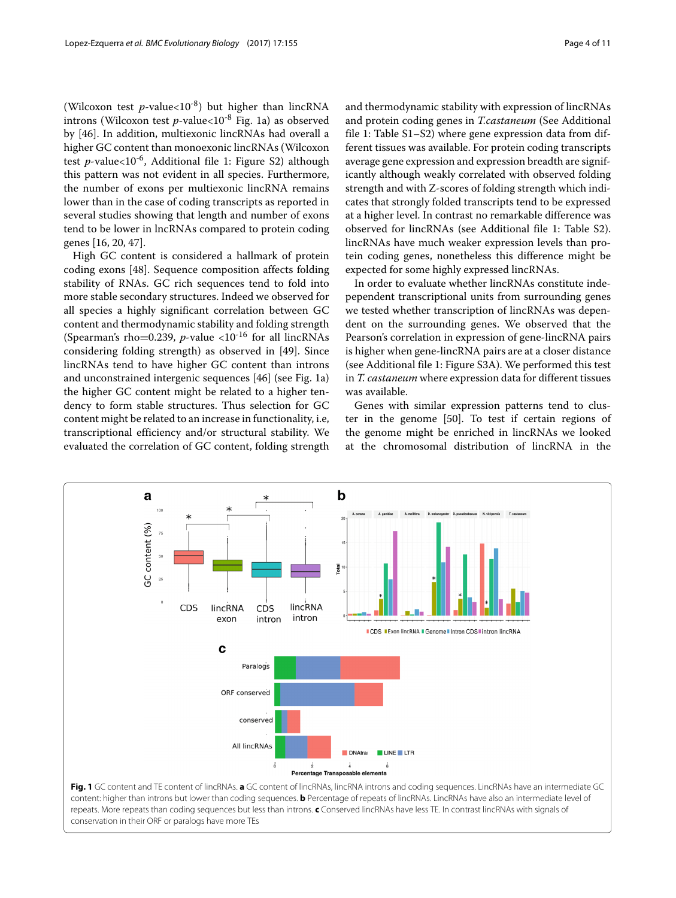(Wilcoxon test  $p$ -value<10<sup>-8</sup>) but higher than lincRNA introns (Wilcoxon test *p*-value<10-8 Fig. [1](#page-3-0)[a\)](#page-3-1) as observed by [\[46\]](#page-9-41). In addition, multiexonic lincRNAs had overall a higher GC content than monoexonic lincRNAs (Wilcoxon test *p*-value< $10^{-6}$ , Additional file [1:](#page-8-4) Figure S2) although this pattern was not evident in all species. Furthermore, the number of exons per multiexonic lincRNA remains lower than in the case of coding transcripts as reported in several studies showing that length and number of exons tend to be lower in lncRNAs compared to protein coding genes [\[16,](#page-9-11) [20,](#page-9-15) [47\]](#page-9-42).

High GC content is considered a hallmark of protein coding exons [\[48\]](#page-9-43). Sequence composition affects folding stability of RNAs. GC rich sequences tend to fold into more stable secondary structures. Indeed we observed for all species a highly significant correlation between GC content and thermodynamic stability and folding strength (Spearman's rho=0.239, *p*-value  $\lt 10^{-16}$  for all lincRNAs considering folding strength) as observed in [\[49\]](#page-9-44). Since lincRNAs tend to have higher GC content than introns and unconstrained intergenic sequences [\[46\]](#page-9-41) (see Fig. [1](#page-3-0)[a\)](#page-3-1) the higher GC content might be related to a higher tendency to form stable structures. Thus selection for GC content might be related to an increase in functionality, i.e, transcriptional efficiency and/or structural stability. We evaluated the correlation of GC content, folding strength and thermodynamic stability with expression of lincRNAs and protein coding genes in *T.castaneum* (See Additional file [1:](#page-8-4) Table S1–S2) where gene expression data from different tissues was available. For protein coding transcripts average gene expression and expression breadth are significantly although weakly correlated with observed folding strength and with Z-scores of folding strength which indicates that strongly folded transcripts tend to be expressed at a higher level. In contrast no remarkable difference was observed for lincRNAs (see Additional file [1:](#page-8-4) Table S2). lincRNAs have much weaker expression levels than protein coding genes, nonetheless this difference might be expected for some highly expressed lincRNAs.

In order to evaluate whether lincRNAs constitute indepependent transcriptional units from surrounding genes we tested whether transcription of lincRNAs was dependent on the surrounding genes. We observed that the Pearson's correlation in expression of gene-lincRNA pairs is higher when gene-lincRNA pairs are at a closer distance (see Additional file [1:](#page-8-4) Figure S3A). We performed this test in *T. castaneum* where expression data for different tissues was available.

Genes with similar expression patterns tend to cluster in the genome [\[50\]](#page-10-1). To test if certain regions of the genome might be enriched in lincRNAs we looked at the chromosomal distribution of lincRNA in the

<span id="page-3-1"></span><span id="page-3-0"></span>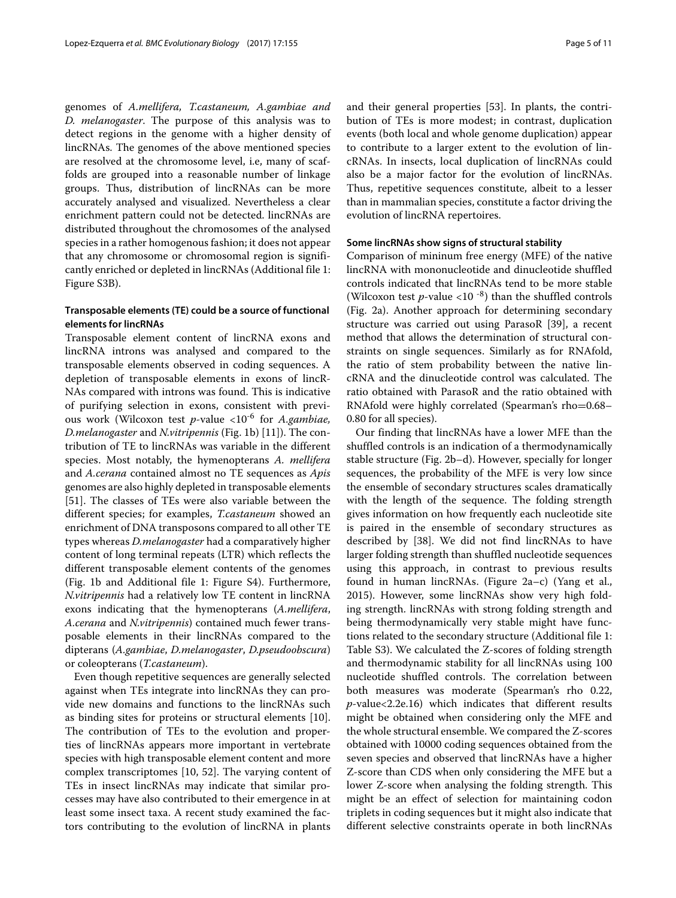genomes of *A.mellifera, T.castaneum, A.gambiae and D. melanogaster*. The purpose of this analysis was to detect regions in the genome with a higher density of lincRNAs. The genomes of the above mentioned species are resolved at the chromosome level, i.e, many of scaffolds are grouped into a reasonable number of linkage groups. Thus, distribution of lincRNAs can be more accurately analysed and visualized. Nevertheless a clear enrichment pattern could not be detected. lincRNAs are distributed throughout the chromosomes of the analysed species in a rather homogenous fashion; it does not appear that any chromosome or chromosomal region is significantly enriched or depleted in lincRNAs (Additional file [1:](#page-8-4) Figure S3B).

## **Transposable elements (TE) could be a source of functional elements for lincRNAs**

Transposable element content of lincRNA exons and lincRNA introns was analysed and compared to the transposable elements observed in coding sequences. A depletion of transposable elements in exons of lincR-NAs compared with introns was found. This is indicative of purifying selection in exons, consistent with previous work (Wilcoxon test *p*-value <10-6 for *A.gambiae, D.melanogaster* and *N.vitripennis* (Fig. [1](#page-3-0)[b\)](#page-3-1) [\[11\]](#page-9-5)). The contribution of TE to lincRNAs was variable in the different species. Most notably, the hymenopterans *A. mellifera* and *A.cerana* contained almost no TE sequences as *Apis* genomes are also highly depleted in transposable elements [\[51\]](#page-10-2). The classes of TEs were also variable between the different species; for examples, *T.castaneum* showed an enrichment of DNA transposons compared to all other TE types whereas *D.melanogaster* had a comparatively higher content of long terminal repeats (LTR) which reflects the different transposable element contents of the genomes (Fig. [1](#page-3-0)[b](#page-3-1) and Additional file [1:](#page-8-4) Figure S4). Furthermore, *N.vitripennis* had a relatively low TE content in lincRNA exons indicating that the hymenopterans (*A.mellifera*, *A.cerana* and *N.vitripennis*) contained much fewer transposable elements in their lincRNAs compared to the dipterans (*A.gambiae*, *D.melanogaster*, *D.pseudoobscura*) or coleopterans (*T.castaneum*).

Even though repetitive sequences are generally selected against when TEs integrate into lincRNAs they can provide new domains and functions to the lincRNAs such as binding sites for proteins or structural elements [\[10\]](#page-9-6). The contribution of TEs to the evolution and properties of lincRNAs appears more important in vertebrate species with high transposable element content and more complex transcriptomes [\[10,](#page-9-6) [52\]](#page-10-3). The varying content of TEs in insect lincRNAs may indicate that similar processes may have also contributed to their emergence in at least some insect taxa. A recent study examined the factors contributing to the evolution of lincRNA in plants

and their general properties [\[53\]](#page-10-4). In plants, the contribution of TEs is more modest; in contrast, duplication events (both local and whole genome duplication) appear to contribute to a larger extent to the evolution of lincRNAs. In insects, local duplication of lincRNAs could also be a major factor for the evolution of lincRNAs. Thus, repetitive sequences constitute, albeit to a lesser than in mammalian species, constitute a factor driving the evolution of lincRNA repertoires.

#### **Some lincRNAs show signs of structural stability**

Comparison of mininum free energy (MFE) of the native lincRNA with mononucleotide and dinucleotide shuffled controls indicated that lincRNAs tend to be more stable (Wilcoxon test  $p$ -value <10 $^{-8}$ ) than the shuffled controls (Fig. [2a](#page-5-0)). Another approach for determining secondary structure was carried out using ParasoR [\[39\]](#page-9-34), a recent method that allows the determination of structural constraints on single sequences. Similarly as for RNAfold, the ratio of stem probability between the native lincRNA and the dinucleotide control was calculated. The ratio obtained with ParasoR and the ratio obtained with RNAfold were highly correlated (Spearman's rho=0.68– 0.80 for all species).

Our finding that lincRNAs have a lower MFE than the shuffled controls is an indication of a thermodynamically stable structure (Fig. [2b](#page-5-0)–d). However, specially for longer sequences, the probability of the MFE is very low since the ensemble of secondary structures scales dramatically with the length of the sequence. The folding strength gives information on how frequently each nucleotide site is paired in the ensemble of secondary structures as described by [\[38\]](#page-9-33). We did not find lincRNAs to have larger folding strength than shuffled nucleotide sequences using this approach, in contrast to previous results found in human lincRNAs. (Figure [2a](#page-5-0)–c) (Yang et al., 2015). However, some lincRNAs show very high folding strength. lincRNAs with strong folding strength and being thermodynamically very stable might have functions related to the secondary structure (Additional file [1:](#page-8-4) Table S3). We calculated the Z-scores of folding strength and thermodynamic stability for all lincRNAs using 100 nucleotide shuffled controls. The correlation between both measures was moderate (Spearman's rho 0.22, *p*-value<2.2e.16) which indicates that different results might be obtained when considering only the MFE and the whole structural ensemble. We compared the Z-scores obtained with 10000 coding sequences obtained from the seven species and observed that lincRNAs have a higher Z-score than CDS when only considering the MFE but a lower Z-score when analysing the folding strength. This might be an effect of selection for maintaining codon triplets in coding sequences but it might also indicate that different selective constraints operate in both lincRNAs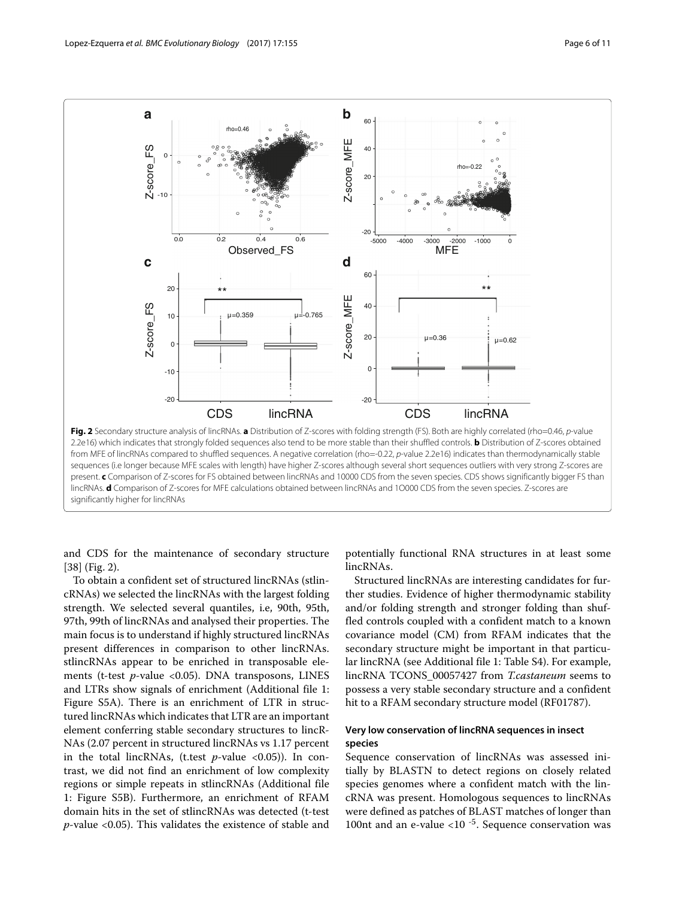

<span id="page-5-0"></span>and CDS for the maintenance of secondary structure [\[38\]](#page-9-33) (Fig. [2\)](#page-5-0).

To obtain a confident set of structured lincRNAs (stlincRNAs) we selected the lincRNAs with the largest folding strength. We selected several quantiles, i.e, 90th, 95th, 97th, 99th of lincRNAs and analysed their properties. The main focus is to understand if highly structured lincRNAs present differences in comparison to other lincRNAs. stlincRNAs appear to be enriched in transposable elements (t-test *p*-value <0.05). DNA transposons, LINES and LTRs show signals of enrichment (Additional file [1:](#page-8-4) Figure S5A). There is an enrichment of LTR in structured lincRNAs which indicates that LTR are an important element conferring stable secondary structures to lincR-NAs (2.07 percent in structured lincRNAs vs 1.17 percent in the total lincRNAs, (t.test  $p$ -value <0.05)). In contrast, we did not find an enrichment of low complexity regions or simple repeats in stlincRNAs (Additional file [1:](#page-8-4) Figure S5B). Furthermore, an enrichment of RFAM domain hits in the set of stlincRNAs was detected (t-test *p*-value <0.05). This validates the existence of stable and potentially functional RNA structures in at least some lincRNAs.

Structured lincRNAs are interesting candidates for further studies. Evidence of higher thermodynamic stability and/or folding strength and stronger folding than shuffled controls coupled with a confident match to a known covariance model (CM) from RFAM indicates that the secondary structure might be important in that particular lincRNA (see Additional file [1:](#page-8-4) Table S4). For example, lincRNA TCONS\_00057427 from *T.castaneum* seems to possess a very stable secondary structure and a confident hit to a RFAM secondary structure model (RF01787).

## **Very low conservation of lincRNA sequences in insect species**

Sequence conservation of lincRNAs was assessed initially by BLASTN to detect regions on closely related species genomes where a confident match with the lincRNA was present. Homologous sequences to lincRNAs were defined as patches of BLAST matches of longer than 100nt and an e-value  $<$ 10<sup>-5</sup>. Sequence conservation was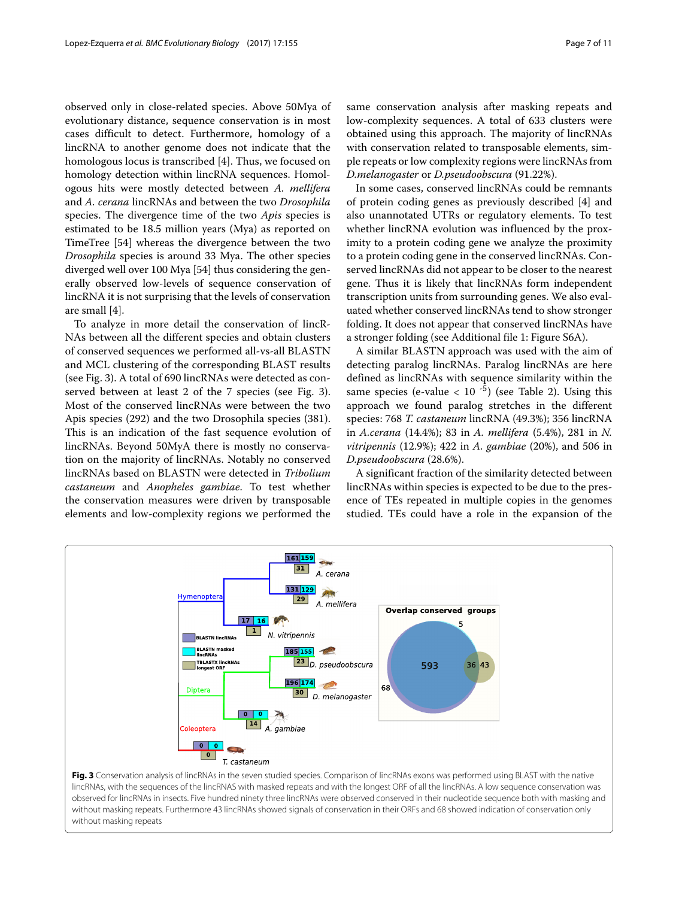observed only in close-related species. Above 50Mya of evolutionary distance, sequence conservation is in most cases difficult to detect. Furthermore, homology of a lincRNA to another genome does not indicate that the homologous locus is transcribed [\[4\]](#page-8-3). Thus, we focused on homology detection within lincRNA sequences. Homologous hits were mostly detected between *A. mellifera* and *A. cerana* lincRNAs and between the two *Drosophila* species. The divergence time of the two *Apis* species is estimated to be 18.5 million years (Mya) as reported on TimeTree [\[54\]](#page-10-5) whereas the divergence between the two *Drosophila* species is around 33 Mya. The other species diverged well over 100 Mya [\[54\]](#page-10-5) thus considering the generally observed low-levels of sequence conservation of lincRNA it is not surprising that the levels of conservation are small [\[4\]](#page-8-3).

To analyze in more detail the conservation of lincR-NAs between all the different species and obtain clusters of conserved sequences we performed all-vs-all BLASTN and MCL clustering of the corresponding BLAST results (see Fig. [3\)](#page-6-0). A total of 690 lincRNAs were detected as conserved between at least 2 of the 7 species (see Fig. [3\)](#page-6-0). Most of the conserved lincRNAs were between the two Apis species (292) and the two Drosophila species (381). This is an indication of the fast sequence evolution of lincRNAs. Beyond 50MyA there is mostly no conservation on the majority of lincRNAs. Notably no conserved lincRNAs based on BLASTN were detected in *Tribolium castaneum* and *Anopheles gambiae*. To test whether the conservation measures were driven by transposable elements and low-complexity regions we performed the

same conservation analysis after masking repeats and low-complexity sequences. A total of 633 clusters were obtained using this approach. The majority of lincRNAs with conservation related to transposable elements, simple repeats or low complexity regions were lincRNAs from *D.melanogaster* or *D.pseudoobscura* (91.22%).

In some cases, conserved lincRNAs could be remnants of protein coding genes as previously described [\[4\]](#page-8-3) and also unannotated UTRs or regulatory elements. To test whether lincRNA evolution was influenced by the proximity to a protein coding gene we analyze the proximity to a protein coding gene in the conserved lincRNAs. Conserved lincRNAs did not appear to be closer to the nearest gene. Thus it is likely that lincRNAs form independent transcription units from surrounding genes. We also evaluated whether conserved lincRNAs tend to show stronger folding. It does not appear that conserved lincRNAs have a stronger folding (see Additional file [1:](#page-8-4) Figure S6A).

A similar BLASTN approach was used with the aim of detecting paralog lincRNAs. Paralog lincRNAs are here defined as lincRNAs with sequence similarity within the same species (e-value  $< 10^{-5}$ ) (see Table [2\)](#page-7-0). Using this approach we found paralog stretches in the different species: 768 *T. castaneum* lincRNA (49.3%); 356 lincRNA in *A.cerana* (14.4%); 83 in *A. mellifera* (5.4%), 281 in *N. vitripennis* (12.9%); 422 in *A. gambiae* (20%), and 506 in *D.pseudoobscura* (28.6%).

A significant fraction of the similarity detected between lincRNAs within species is expected to be due to the presence of TEs repeated in multiple copies in the genomes studied. TEs could have a role in the expansion of the



<span id="page-6-0"></span>lincRNAs, with the sequences of the lincRNAS with masked repeats and with the longest ORF of all the lincRNAs. A low sequence conservation was observed for lincRNAs in insects. Five hundred ninety three lincRNAs were observed conserved in their nucleotide sequence both with masking and without masking repeats. Furthermore 43 lincRNAs showed signals of conservation in their ORFs and 68 showed indication of conservation only without masking repeats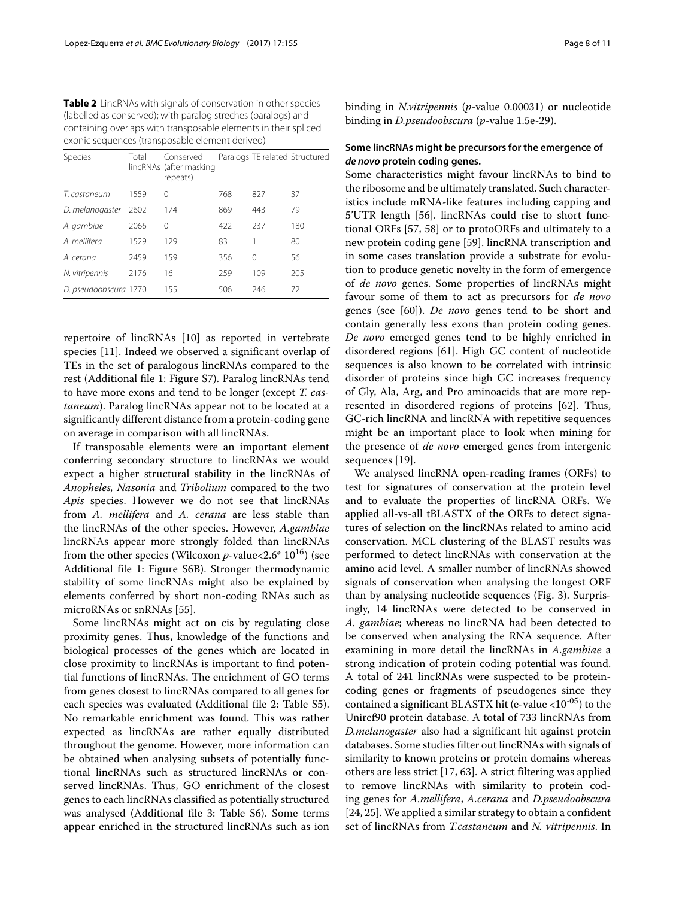<span id="page-7-0"></span>**Table 2** LincRNAs with signals of conservation in other species (labelled as conserved); with paralog streches (paralogs) and containing overlaps with transposable elements in their spliced exonic sequences (transposable element derived)

| Species               | Total | Conserved<br>lincRNAs (after masking<br>repeats) |     |     | Paralogs TE related Structured |
|-----------------------|-------|--------------------------------------------------|-----|-----|--------------------------------|
| T. castaneum          | 1559  | 0                                                | 768 | 827 | 37                             |
| D. melanogaster       | 2602  | 174                                              | 869 | 443 | 79                             |
| A. gambiae            | 2066  | 0                                                | 422 | 237 | 180                            |
| A mellifera           | 1529  | 129                                              | 83  | 1   | 80                             |
| A. cerana             | 2459  | 159                                              | 356 | 0   | 56                             |
| N. vitripennis        | 2176  | 16                                               | 259 | 109 | 205                            |
| D. pseudoobscura 1770 |       | 155                                              | 506 | 246 | 72                             |

repertoire of lincRNAs [\[10\]](#page-9-6) as reported in vertebrate species [\[11\]](#page-9-5). Indeed we observed a significant overlap of TEs in the set of paralogous lincRNAs compared to the rest (Additional file [1:](#page-8-4) Figure S7). Paralog lincRNAs tend to have more exons and tend to be longer (except *T. castaneum*). Paralog lincRNAs appear not to be located at a significantly different distance from a protein-coding gene on average in comparison with all lincRNAs.

If transposable elements were an important element conferring secondary structure to lincRNAs we would expect a higher structural stability in the lincRNAs of *Anopheles, Nasonia* and *Tribolium* compared to the two *Apis* species. However we do not see that lincRNAs from *A. mellifera* and *A. cerana* are less stable than the lincRNAs of the other species. However, *A.gambiae* lincRNAs appear more strongly folded than lincRNAs from the other species (Wilcoxon *p*-value<2.6\* 1016) (see Additional file [1:](#page-8-4) Figure S6B). Stronger thermodynamic stability of some lincRNAs might also be explained by elements conferred by short non-coding RNAs such as microRNAs or snRNAs [\[55\]](#page-10-6).

Some lincRNAs might act on cis by regulating close proximity genes. Thus, knowledge of the functions and biological processes of the genes which are located in close proximity to lincRNAs is important to find potential functions of lincRNAs. The enrichment of GO terms from genes closest to lincRNAs compared to all genes for each species was evaluated (Additional file [2:](#page-8-5) Table S5). No remarkable enrichment was found. This was rather expected as lincRNAs are rather equally distributed throughout the genome. However, more information can be obtained when analysing subsets of potentially functional lincRNAs such as structured lincRNAs or conserved lincRNAs. Thus, GO enrichment of the closest genes to each lincRNAs classified as potentially structured was analysed (Additional file [3:](#page-8-6) Table S6). Some terms appear enriched in the structured lincRNAs such as ion

binding in *N.vitripennis* (*p*-value 0.00031) or nucleotide binding in *D.pseudoobscura* (*p*-value 1.5e-29).

## **Some lincRNAs might be precursors for the emergence of** *de novo* **protein coding genes.**

Some characteristics might favour lincRNAs to bind to the ribosome and be ultimately translated. Such characteristics include mRNA-like features including capping and 5'UTR length [\[56\]](#page-10-7). lincRNAs could rise to short functional ORFs [\[57,](#page-10-8) [58\]](#page-10-9) or to protoORFs and ultimately to a new protein coding gene [\[59\]](#page-10-10). lincRNA transcription and in some cases translation provide a substrate for evolution to produce genetic novelty in the form of emergence of *de novo* genes. Some properties of lincRNAs might favour some of them to act as precursors for *de novo* genes (see [\[60\]](#page-10-11)). *De novo* genes tend to be short and contain generally less exons than protein coding genes. *De novo* emerged genes tend to be highly enriched in disordered regions [\[61\]](#page-10-12). High GC content of nucleotide sequences is also known to be correlated with intrinsic disorder of proteins since high GC increases frequency of Gly, Ala, Arg, and Pro aminoacids that are more represented in disordered regions of proteins [\[62\]](#page-10-13). Thus, GC-rich lincRNA and lincRNA with repetitive sequences might be an important place to look when mining for the presence of *de novo* emerged genes from intergenic sequences [\[19\]](#page-9-14).

We analysed lincRNA open-reading frames (ORFs) to test for signatures of conservation at the protein level and to evaluate the properties of lincRNA ORFs. We applied all-vs-all tBLASTX of the ORFs to detect signatures of selection on the lincRNAs related to amino acid conservation. MCL clustering of the BLAST results was performed to detect lincRNAs with conservation at the amino acid level. A smaller number of lincRNAs showed signals of conservation when analysing the longest ORF than by analysing nucleotide sequences (Fig. [3\)](#page-6-0). Surprisingly, 14 lincRNAs were detected to be conserved in *A. gambiae*; whereas no lincRNA had been detected to be conserved when analysing the RNA sequence. After examining in more detail the lincRNAs in *A.gambiae* a strong indication of protein coding potential was found. A total of 241 lincRNAs were suspected to be proteincoding genes or fragments of pseudogenes since they contained a significant BLASTX hit (e-value  $<10^{-05}$ ) to the Uniref90 protein database. A total of 733 lincRNAs from *D.melanogaster* also had a significant hit against protein databases. Some studies filter out lincRNAs with signals of similarity to known proteins or protein domains whereas others are less strict [\[17,](#page-9-12) [63\]](#page-10-0). A strict filtering was applied to remove lincRNAs with similarity to protein coding genes for *A.mellifera*, *A.cerana* and *D.pseudoobscura* [\[24,](#page-9-19) [25\]](#page-9-20). We applied a similar strategy to obtain a confident set of lincRNAs from *T.castaneum* and *N. vitripennis*. In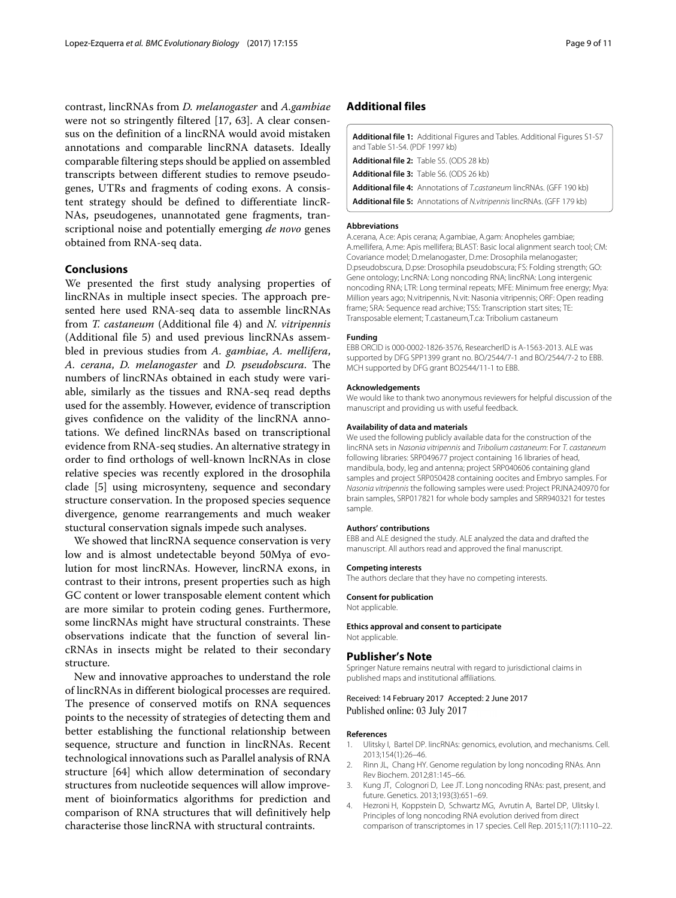contrast, lincRNAs from *D. melanogaster* and *A.gambiae* were not so stringently filtered [\[17,](#page-9-12) [63\]](#page-10-0). A clear consensus on the definition of a lincRNA would avoid mistaken annotations and comparable lincRNA datasets. Ideally comparable filtering steps should be applied on assembled transcripts between different studies to remove pseudogenes, UTRs and fragments of coding exons. A consistent strategy should be defined to differentiate lincR-NAs, pseudogenes, unannotated gene fragments, transcriptional noise and potentially emerging *de novo* genes obtained from RNA-seq data.

## **Conclusions**

We presented the first study analysing properties of lincRNAs in multiple insect species. The approach presented here used RNA-seq data to assemble lincRNAs from *T. castaneum* (Additional file [4\)](#page-8-7) and *N. vitripennis* (Additional file [5\)](#page-8-8) and used previous lincRNAs assembled in previous studies from *A. gambiae*, *A. mellifera*, *A. cerana*, *D. melanogaster* and *D. pseudobscura*. The numbers of lincRNAs obtained in each study were variable, similarly as the tissues and RNA-seq read depths used for the assembly. However, evidence of transcription gives confidence on the validity of the lincRNA annotations. We defined lincRNAs based on transcriptional evidence from RNA-seq studies. An alternative strategy in order to find orthologs of well-known lncRNAs in close relative species was recently explored in the drosophila clade [\[5\]](#page-9-0) using microsynteny, sequence and secondary structure conservation. In the proposed species sequence divergence, genome rearrangements and much weaker stuctural conservation signals impede such analyses.

We showed that lincRNA sequence conservation is very low and is almost undetectable beyond 50Mya of evolution for most lincRNAs. However, lincRNA exons, in contrast to their introns, present properties such as high GC content or lower transposable element content which are more similar to protein coding genes. Furthermore, some lincRNAs might have structural constraints. These observations indicate that the function of several lincRNAs in insects might be related to their secondary structure.

New and innovative approaches to understand the role of lincRNAs in different biological processes are required. The presence of conserved motifs on RNA sequences points to the necessity of strategies of detecting them and better establishing the functional relationship between sequence, structure and function in lincRNAs. Recent technological innovations such as Parallel analysis of RNA structure [\[64\]](#page-10-14) which allow determination of secondary structures from nucleotide sequences will allow improvement of bioinformatics algorithms for prediction and comparison of RNA structures that will definitively help characterise those lincRNA with structural contraints.

## **Additional files**

<span id="page-8-6"></span><span id="page-8-5"></span><span id="page-8-4"></span>

| <b>Additional file 1:</b> Additional Figures and Tables. Additional Figures S1-S7<br>and Table S1-S4. (PDF 1997 kb) |  |  |
|---------------------------------------------------------------------------------------------------------------------|--|--|
| <b>Additional file 2:</b> Table S5. (ODS 28 kb)                                                                     |  |  |
| <b>Additional file 3:</b> Table S6. (ODS 26 kb)                                                                     |  |  |
| <b>Additional file 4:</b> Annotations of T.castaneum lincRNAs. (GFF 190 kb)                                         |  |  |
| <b>Additional file 5:</b> Annotations of N.vitripennis lincRNAs. (GFF 179 kb)                                       |  |  |

#### <span id="page-8-8"></span><span id="page-8-7"></span>**Abbreviations**

A.cerana, A.ce: Apis cerana; A.gambiae, A.gam: Anopheles gambiae; A.mellifera, A.me: Apis mellifera; BLAST: Basic local alignment search tool; CM: Covariance model; D.melanogaster, D.me: Drosophila melanogaster; D.pseudobscura, D.pse: Drosophila pseudobscura; FS: Folding strength; GO: Gene ontology; LncRNA: Long noncoding RNA; lincRNA: Long intergenic noncoding RNA; LTR: Long terminal repeats; MFE: Minimum free energy; Mya: Million years ago; N.vitripennis, N.vit: Nasonia vitripennis; ORF: Open reading frame; SRA: Sequence read archive; TSS: Transcription start sites; TE: Transposable element; T.castaneum,T.ca: Tribolium castaneum

#### **Funding**

EBB ORCID is 000-0002-1826-3576, ResearcherID is A-1563-2013. ALE was supported by DFG SPP1399 grant no. BO/2544/7-1 and BO/2544/7-2 to EBB. MCH supported by DFG grant BO2544/11-1 to EBB.

#### **Acknowledgements**

We would like to thank two anonymous reviewers for helpful discussion of the manuscript and providing us with useful feedback.

#### **Availability of data and materials**

We used the following publicly available data for the construction of the lincRNA sets in Nasonia vitripennis and Tribolium castaneum: For T. castaneum following libraries: SRP049677 project containing 16 libraries of head, mandibula, body, leg and antenna; project SRP040606 containing gland samples and project SRP050428 containing oocites and Embryo samples. For Nasonia vitripennis the following samples were used: Project PRJNA240970 for brain samples, SRP017821 for whole body samples and SRR940321 for testes sample.

#### **Authors' contributions**

EBB and ALE designed the study. ALE analyzed the data and drafted the manuscript. All authors read and approved the final manuscript.

#### **Competing interests**

The authors declare that they have no competing interests.

#### **Consent for publication**

Not applicable.

#### **Ethics approval and consent to participate** Not applicable.

#### **Publisher's Note**

Springer Nature remains neutral with regard to jurisdictional claims in published maps and institutional affiliations.

## Received: 14 February 2017 Accepted: 2 June 2017 Published online: 03 July 2017

#### **References**

- <span id="page-8-0"></span>1. Ulitsky I, Bartel DP. lincRNAs: genomics, evolution, and mechanisms. Cell. 2013;154(1):26–46.
- <span id="page-8-1"></span>2. Rinn JL, Chang HY. Genome regulation by long noncoding RNAs. Ann Rev Biochem. 2012;81:145–66.
- <span id="page-8-2"></span>3. Kung JT, Colognori D, Lee JT. Long noncoding RNAs: past, present, and future. Genetics. 2013;193(3):651–69.
- <span id="page-8-3"></span>4. Hezroni H, Koppstein D, Schwartz MG, Avrutin A, Bartel DP, Ulitsky I. Principles of long noncoding RNA evolution derived from direct comparison of transcriptomes in 17 species. Cell Rep. 2015;11(7):1110–22.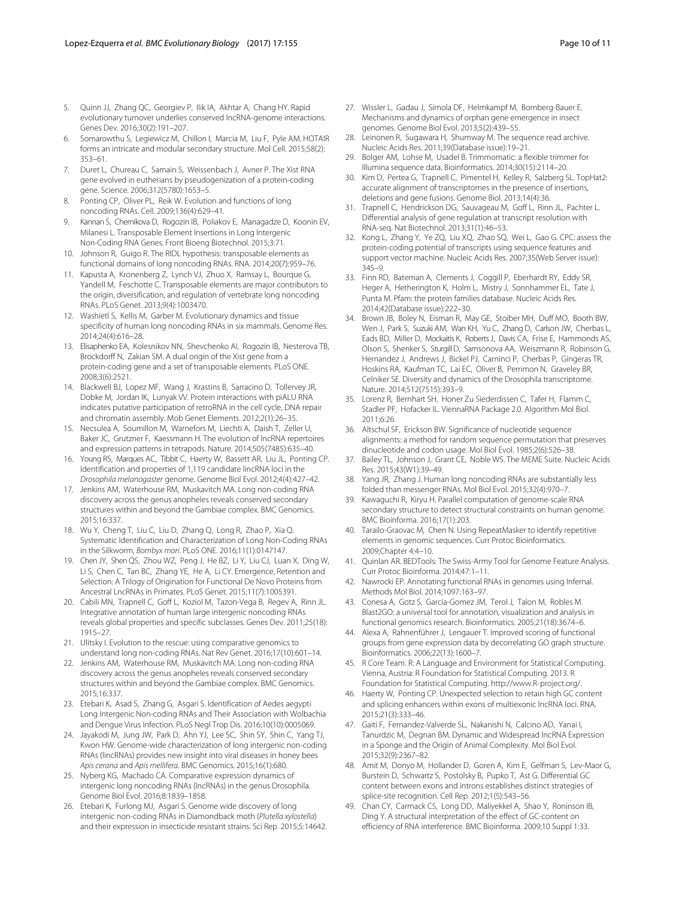- <span id="page-9-0"></span>5. Quinn JJ, Zhang QC, Georgiev P, Ilik IA, Akhtar A, Chang HY. Rapid evolutionary turnover underlies conserved lncRNA-genome interactions. Genes Dev. 2016;30(2):191–207.
- <span id="page-9-1"></span>6. Somarowthu S, Legiewicz M, Chillon I, Marcia M, Liu F, Pyle AM. HOTAIR forms an intricate and modular secondary structure. Mol Cell. 2015;58(2): 353–61.
- <span id="page-9-2"></span>7. Duret L, Chureau C, Samain S, Weissenbach J, Avner P. The Xist RNA gene evolved in eutherians by pseudogenization of a protein-coding gene. Science. 2006;312(5780):1653–5.
- <span id="page-9-3"></span>8. Ponting CP, Oliver PL, Reik W. Evolution and functions of long noncoding RNAs. Cell. 2009;136(4):629–41.
- <span id="page-9-4"></span>9. Kannan S, Chernikova D, Rogozin IB, Poliakov E, Managadze D, Koonin EV, Milanesi L. Transposable Element Insertions in Long Intergenic Non-Coding RNA Genes. Front Bioeng Biotechnol. 2015;3:71.
- <span id="page-9-6"></span>10. Johnson R, Guigo R. The RIDL hypothesis: transposable elements as functional domains of long noncoding RNAs. RNA. 2014;20(7):959–76.
- <span id="page-9-5"></span>11. Kapusta A, Kronenberg Z, Lynch VJ, Zhuo X, Ramsay L, Bourque G, Yandell M, Feschotte C. Transposable elements are major contributors to the origin, diversification, and regulation of vertebrate long noncoding RNAs. PLoS Genet. 2013;9(4):1003470.
- <span id="page-9-7"></span>12. Washietl S, Kellis M, Garber M. Evolutionary dynamics and tissue specificity of human long noncoding RNAs in six mammals. Genome Res. 2014;24(4):616–28.
- <span id="page-9-8"></span>13. Elisaphenko EA, Kolesnikov NN, Shevchenko AI, Rogozin IB, Nesterova TB, Brockdorff N, Zakian SM. A dual origin of the Xist gene from a protein-coding gene and a set of transposable elements. PLoS ONE. 2008;3(6):2521.
- <span id="page-9-9"></span>14. Blackwell BJ, Lopez MF, Wang J, Krastins B, Sarracino D, Tollervey JR, Dobke M, Jordan IK, Lunyak VV. Protein interactions with piALU RNA indicates putative participation of retroRNA in the cell cycle, DNA repair and chromatin assembly. Mob Genet Elements. 2012;2(1):26–35.
- <span id="page-9-10"></span>15. Necsulea A, Soumillon M, Warnefors M, Liechti A, Daish T, Zeller U, Baker JC, Grutzner F, Kaessmann H. The evolution of lncRNA repertoires and expression patterns in tetrapods. Nature. 2014;505(7485):635–40.
- <span id="page-9-11"></span>16. Young RS, Marques AC, Tibbit C, Haerty W, Bassett AR, Liu JL, Ponting CP. Identification and properties of 1,119 candidate lincRNA loci in the Drosophila melanogaster genome. Genome Biol Evol. 2012;4(4):427–42.
- <span id="page-9-12"></span>17. Jenkins AM, Waterhouse RM, Muskavitch MA. Long non-coding RNA discovery across the genus anopheles reveals conserved secondary structures within and beyond the Gambiae complex. BMC Genomics. 2015;16:337.
- <span id="page-9-13"></span>18. Wu Y, Cheng T, Liu C, Liu D, Zhang Q, Long R, Zhao P, Xia Q. Systematic Identification and Characterization of Long Non-Coding RNAs in the Silkworm, Bombyx mori. PLoS ONE. 2016;11(1):0147147.
- <span id="page-9-14"></span>19. Chen JY, Shen QS, Zhou WZ, Peng J, He BZ, Li Y, Liu CJ, Luan X, Ding W, Li S, Chen C, Tan BC, Zhang YE, He A, Li CY. Emergence, Retention and Selection: A Trilogy of Origination for Functional De Novo Proteins from Ancestral LncRNAs in Primates. PLoS Genet. 2015;11(7):1005391.
- <span id="page-9-15"></span>20. Cabili MN, Trapnell C, Goff L, Koziol M, Tazon-Vega B, Regev A, Rinn JL. Integrative annotation of human large intergenic noncoding RNAs reveals global properties and specific subclasses. Genes Dev. 2011;25(18): 1915–27.
- <span id="page-9-16"></span>21. Ulitsky I. Evolution to the rescue: using comparative genomics to understand long non-coding RNAs. Nat Rev Genet. 2016;17(10):601–14.
- <span id="page-9-17"></span>22. Jenkins AM, Waterhouse RM, Muskavitch MA. Long non-coding RNA discovery across the genus anopheles reveals conserved secondary structures within and beyond the Gambiae complex. BMC Genomics. 2015;16:337.
- <span id="page-9-18"></span>23. Etebari K, Asad S, Zhang G, Asgari S. Identification of Aedes aegypti Long Intergenic Non-coding RNAs and Their Association with Wolbachia and Dengue Virus Infection. PLoS Negl Trop Dis. 2016;10(10):0005069.
- <span id="page-9-19"></span>24. Jayakodi M, Jung JW, Park D, Ahn YJ, Lee SC, Shin SY, Shin C, Yang TJ, Kwon HW. Genome-wide characterization of long intergenic non-coding RNAs (lincRNAs) provides new insight into viral diseases in honey bees Apis cerana and Apis mellifera. BMC Genomics. 2015;16(1):680.
- <span id="page-9-20"></span>25. Nyberg KG, Machado CA. Comparative expression dynamics of intergenic long noncoding RNAs (lncRNAs) in the genus Drosophila. Genome Biol Evol. 2016;8:1839–1858.
- <span id="page-9-21"></span>26. Etebari K, Furlong MJ, Asgari S. Genome wide discovery of long intergenic non-coding RNAs in Diamondback moth (Plutella xylostella) and their expression in insecticide resistant strains. Sci Rep. 2015;5:14642.
- <span id="page-9-22"></span>27. Wissler L, Gadau J, Simola DF, Helmkampf M, Bornberg-Bauer E. Mechanisms and dynamics of orphan gene emergence in insect genomes. Genome Biol Evol. 2013;5(2):439–55.
- <span id="page-9-23"></span>28. Leinonen R, Sugawara H, Shumway M. The sequence read archive. Nucleic Acids Res. 2011;39(Database issue):19–21.
- <span id="page-9-24"></span>29. Bolger AM, Lohse M, Usadel B. Trimmomatic: a flexible trimmer for Illumina sequence data. Bioinformatics. 2014;30(15):2114–20.
- <span id="page-9-25"></span>30. Kim D, Pertea G, Trapnell C, Pimentel H, Kelley R, Salzberg SL. TopHat2: accurate alignment of transcriptomes in the presence of insertions, deletions and gene fusions. Genome Biol. 2013;14(4):36.
- <span id="page-9-26"></span>31. Trapnell C, Hendrickson DG, Sauvageau M, Goff L, Rinn JL, Pachter L. Differential analysis of gene regulation at transcript resolution with RNA-seq. Nat Biotechnol. 2013;31(1):46–53.
- <span id="page-9-27"></span>32. Kong L, Zhang Y, Ye ZQ, Liu XQ, Zhao SQ, Wei L, Gao G. CPC: assess the protein-coding potential of transcripts using sequence features and support vector machine. Nucleic Acids Res. 2007;35(Web Server issue): 345–9.
- <span id="page-9-28"></span>33. Finn RD, Bateman A, Clements J, Coggill P, Eberhardt RY, Eddy SR, Heger A, Hetherington K, Holm L, Mistry J, Sonnhammer EL, Tate J, Punta M. Pfam: the protein families database. Nucleic Acids Res. 2014;42(Database issue):222–30.
- <span id="page-9-29"></span>34. Brown JB, Boley N, Eisman R, May GE, Stoiber MH, Duff MO, Booth BW, Wen J, Park S, Suzuki AM, Wan KH, Yu C, Zhang D, Carlson JW, Cherbas L, Eads BD, Miller D, Mockaitis K, Roberts J, Davis CA, Frise E, Hammonds AS, Olson S, Shenker S, Sturgill D, Samsonova AA, Weiszmann R, Robinson G, Hernandez J, Andrews J, Bickel PJ, Carninci P, Cherbas P, Gingeras TR, Hoskins RA, Kaufman TC, Lai EC, Oliver B, Perrimon N, Graveley BR, Celniker SE. Diversity and dynamics of the Drosophila transcriptome. Nature. 2014;512(7515):393–9.
- <span id="page-9-30"></span>35. Lorenz R, Bernhart SH, Honer Zu Siederdissen C, Tafer H, Flamm C, Stadler PF, Hofacker IL. ViennaRNA Package 2.0. Algorithm Mol Biol. 2011;6:26.
- <span id="page-9-31"></span>36. Altschul SF, Erickson BW. Significance of nucleotide sequence alignments: a method for random sequence permutation that preserves dinucleotide and codon usage. Mol Biol Evol. 1985;2(6):526–38.
- <span id="page-9-32"></span>37. Bailey TL, Johnson J, Grant CE, Noble WS. The MEME Suite. Nucleic Acids Res. 2015;43(W1):39–49.
- <span id="page-9-33"></span>38. Yang JR, Zhang J. Human long noncoding RNAs are substantially less folded than messenger RNAs. Mol Biol Evol. 2015;32(4):970–7.
- <span id="page-9-34"></span>39. Kawaguchi R, Kiryu H. Parallel computation of genome-scale RNA secondary structure to detect structural constraints on human genome. BMC Bioinforma. 2016;17(1):203.
- <span id="page-9-35"></span>40. Tarailo-Graovac M, Chen N. Using RepeatMasker to identify repetitive elements in genomic sequences. Curr Protoc Bioinformatics. 2009;Chapter 4:4–10.
- <span id="page-9-36"></span>41. Quinlan AR. BEDTools: The Swiss-Army Tool for Genome Feature Analysis. Curr Protoc Bioinforma. 2014;47:1–11.
- <span id="page-9-37"></span>42. Nawrocki EP. Annotating functional RNAs in genomes using Infernal. Methods Mol Biol. 2014;1097:163–97.
- <span id="page-9-38"></span>43. Conesa A, Gotz S, Garcia-Gomez JM, Terol J, Talon M, Robles M. Blast2GO: a universal tool for annotation, visualization and analysis in functional genomics research. Bioinformatics. 2005;21(18):3674–6.
- <span id="page-9-39"></span>44. Alexa A, Rahnenführer J, Lengauer T. Improved scoring of functional groups from gene expression data by decorrelating GO graph structure. Bioinformatics. 2006;22(13):1600–7.
- <span id="page-9-40"></span>45. R Core Team. R: A Language and Environment for Statistical Computing. Vienna, Austria: R Foundation for Statistical Computing. 2013. R Foundation for Statistical Computing. [http://www.R-project.org/.](http://www.R-project.org/)
- <span id="page-9-41"></span>46. Haerty W, Ponting CP. Unexpected selection to retain high GC content and splicing enhancers within exons of multiexonic lncRNA loci. RNA. 2015;21(3):333–46.
- <span id="page-9-42"></span>47. Gaiti F, Fernandez-Valverde SL, Nakanishi N, Calcino AD, Yanai I, Tanurdzic M, Degnan BM. Dynamic and Widespread lncRNA Expression in a Sponge and the Origin of Animal Complexity. Mol Biol Evol. 2015;32(9):2367–82.
- <span id="page-9-43"></span>48. Amit M, Donyo M, Hollander D, Goren A, Kim E, Gelfman S, Lev-Maor G, Burstein D, Schwartz S, Postolsky B, Pupko T, Ast G. Differential GC content between exons and introns establishes distinct strategies of splice-site recognition. Cell Rep. 2012;1(5):543–56.
- <span id="page-9-44"></span>49. Chan CY, Carmack CS, Long DD, Maliyekkel A, Shao Y, Roninson IB, Ding Y. A structural interpretation of the effect of GC-content on efficiency of RNA interference. BMC Bioinforma. 2009;10 Suppl 1:33.